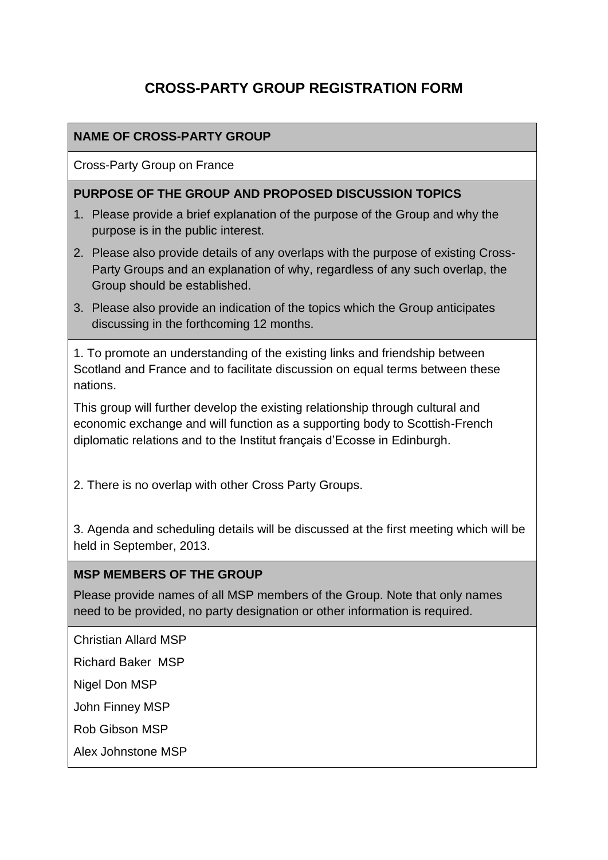# **CROSS-PARTY GROUP REGISTRATION FORM**

## **NAME OF CROSS-PARTY GROUP**

Cross-Party Group on France

#### **PURPOSE OF THE GROUP AND PROPOSED DISCUSSION TOPICS**

- 1. Please provide a brief explanation of the purpose of the Group and why the purpose is in the public interest.
- 2. Please also provide details of any overlaps with the purpose of existing Cross-Party Groups and an explanation of why, regardless of any such overlap, the Group should be established.
- 3. Please also provide an indication of the topics which the Group anticipates discussing in the forthcoming 12 months.

1. To promote an understanding of the existing links and friendship between Scotland and France and to facilitate discussion on equal terms between these nations.

This group will further develop the existing relationship through cultural and economic exchange and will function as a supporting body to Scottish-French diplomatic relations and to the Institut français d'Ecosse in Edinburgh.

2. There is no overlap with other Cross Party Groups.

3. Agenda and scheduling details will be discussed at the first meeting which will be held in September, 2013.

#### **MSP MEMBERS OF THE GROUP**

Please provide names of all MSP members of the Group. Note that only names need to be provided, no party designation or other information is required.

Christian Allard MSP

Richard Baker MSP

Nigel Don MSP

John Finney MSP

Rob Gibson MSP

Alex Johnstone MSP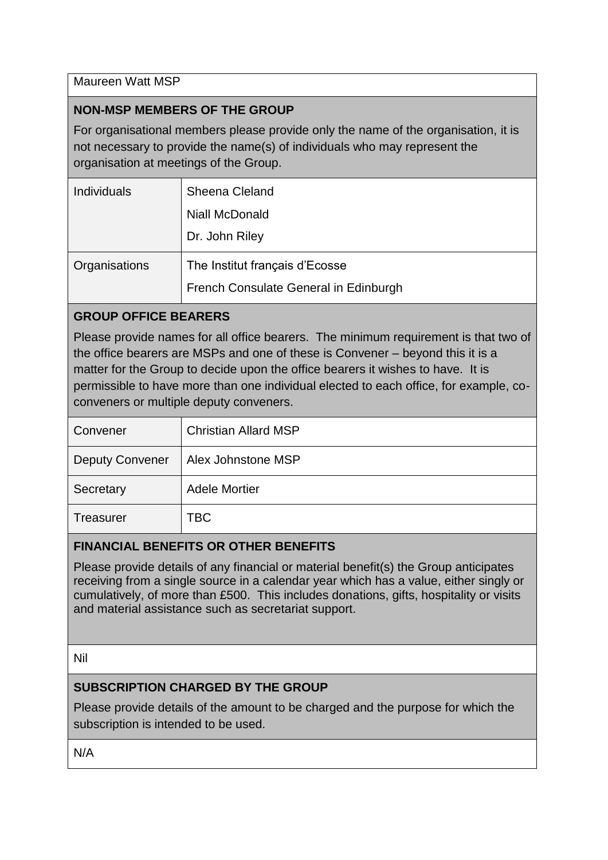Maureen Watt MSP

## **NON-MSP MEMBERS OF THE GROUP**

For organisational members please provide only the name of the organisation, it is not necessary to provide the name(s) of individuals who may represent the organisation at meetings of the Group.

| Sheena Cleland                        |
|---------------------------------------|
| <b>Niall McDonald</b>                 |
| Dr. John Riley                        |
| The Institut français d'Ecosse        |
| French Consulate General in Edinburgh |
|                                       |

## **GROUP OFFICE BEARERS**

Please provide names for all office bearers. The minimum requirement is that two of the office bearers are MSPs and one of these is Convener – beyond this it is a matter for the Group to decide upon the office bearers it wishes to have. It is permissible to have more than one individual elected to each office, for example, coconveners or multiple deputy conveners.

| Convener               | <b>Christian Allard MSP</b> |
|------------------------|-----------------------------|
| <b>Deputy Convener</b> | Alex Johnstone MSP          |
| Secretary              | <b>Adele Mortier</b>        |
| <b>Treasurer</b>       | TBC                         |

## **FINANCIAL BENEFITS OR OTHER BENEFITS**

Please provide details of any financial or material benefit(s) the Group anticipates receiving from a single source in a calendar year which has a value, either singly or cumulatively, of more than £500. This includes donations, gifts, hospitality or visits and material assistance such as secretariat support.

Nil

## **SUBSCRIPTION CHARGED BY THE GROUP**

Please provide details of the amount to be charged and the purpose for which the subscription is intended to be used.

N/A